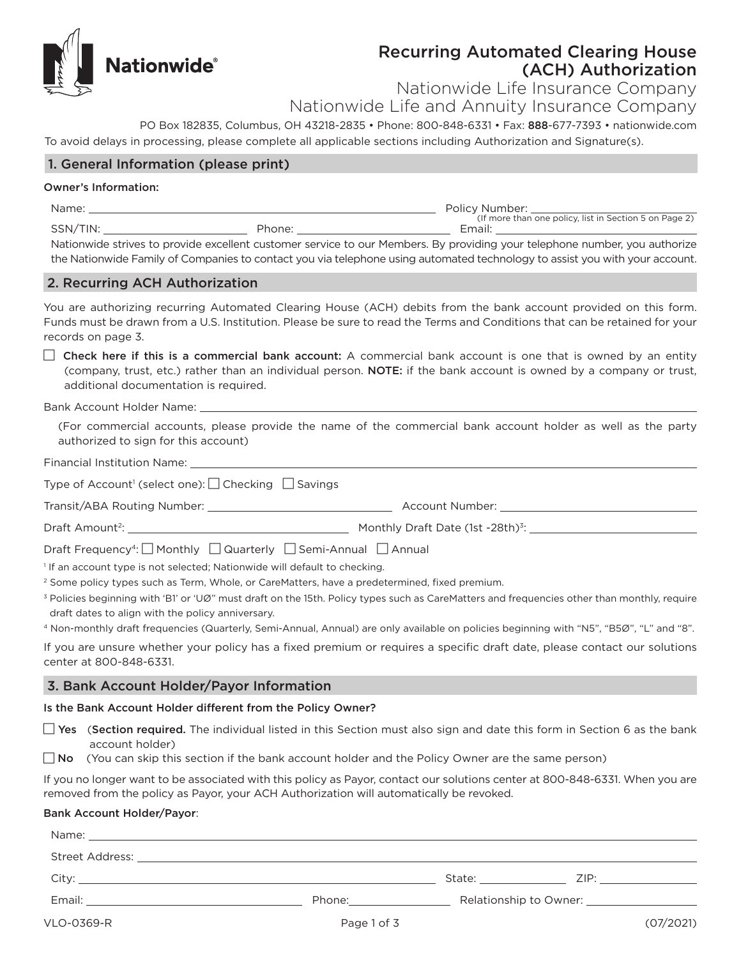

# Recurring Automated Clearing House (ACH) Authorization

Nationwide Life Insurance Company

Nationwide Life and Annuity Insurance Company

PO Box 182835, Columbus, OH 43218-2835 • Phone: 800-848-6331 • Fax: 888-677-7393 • nationwide.com

To avoid delays in processing, please complete all applicable sections including Authorization and Signature(s).

# 1. General Information (please print)

### Owner's Information:

| Name:    |        | Policy Number:                                         |
|----------|--------|--------------------------------------------------------|
|          |        | (If more than one policy, list in Section 5 on Page 2) |
| SSN/TIN: | Phone: | Email:                                                 |

Nationwide strives to provide excellent customer service to our Members. By providing your telephone number, you authorize the Nationwide Family of Companies to contact you via telephone using automated technology to assist you with your account.

## 2. Recurring ACH Authorization

You are authorizing recurring Automated Clearing House (ACH) debits from the bank account provided on this form. Funds must be drawn from a U.S. Institution. Please be sure to read the Terms and Conditions that can be retained for your records on page 3.

 $\Box$  Check here if this is a commercial bank account: A commercial bank account is one that is owned by an entity (company, trust, etc.) rather than an individual person. NOTE: if the bank account is owned by a company or trust, additional documentation is required.

Bank Account Holder Name:

(For commercial accounts, please provide the name of the commercial bank account holder as well as the party authorized to sign for this account)

Financial Institution Name:

| Type of Account <sup>1</sup> (select one): □ Checking □ Savings |  |  |  |  |
|-----------------------------------------------------------------|--|--|--|--|
|-----------------------------------------------------------------|--|--|--|--|

Transit/ABA Routing Number: Account Number:

Draft Amount2: Monthly Draft Date (1st -28th)3:

Draft Frequency<sup>4</sup>:  $\Box$  Monthly  $\Box$  Quarterly  $\Box$  Semi-Annual  $\Box$  Annual

<sup>1</sup> If an account type is not selected; Nationwide will default to checking.

<sup>2</sup> Some policy types such as Term, Whole, or CareMatters, have a predetermined, fixed premium.

<sup>3</sup> Policies beginning with 'B1' or 'UØ" must draft on the 15th. Policy types such as CareMatters and frequencies other than monthly, require draft dates to align with the policy anniversary.

4 Non-monthly draft frequencies (Quarterly, Semi-Annual, Annual) are only available on policies beginning with "N5", "B5Ø", "L" and "8".

If you are unsure whether your policy has a fixed premium or requires a specific draft date, please contact our solutions center at 800-848-6331.

## 3. Bank Account Holder/Payor Information

### Is the Bank Account Holder different from the Policy Owner?

| □ Yes (Section required. The individual listed in this Section must also sign and date this form in Section 6 as the bank |  |  |  |  |  |
|---------------------------------------------------------------------------------------------------------------------------|--|--|--|--|--|
| account holder)                                                                                                           |  |  |  |  |  |

 $\Box$  No (You can skip this section if the bank account holder and the Policy Owner are the same person)

If you no longer want to be associated with this policy as Payor, contact our solutions center at 800-848-6331. When you are removed from the policy as Payor, your ACH Authorization will automatically be revoked.

### Bank Account Holder/Payor:

|                                                                                                                         |                                                                                                                                                                                                                                | State: ZIP: ZIP: |           |
|-------------------------------------------------------------------------------------------------------------------------|--------------------------------------------------------------------------------------------------------------------------------------------------------------------------------------------------------------------------------|------------------|-----------|
| Email: <u>Discovery and the second contract of the second contract of the second contract of the second contract of</u> | Phone: the contract of the contract of the contract of the contract of the contract of the contract of the contract of the contract of the contract of the contract of the contract of the contract of the contract of the con |                  |           |
| VLO-0369-R                                                                                                              | Page 1 of 3                                                                                                                                                                                                                    |                  | (07/2021) |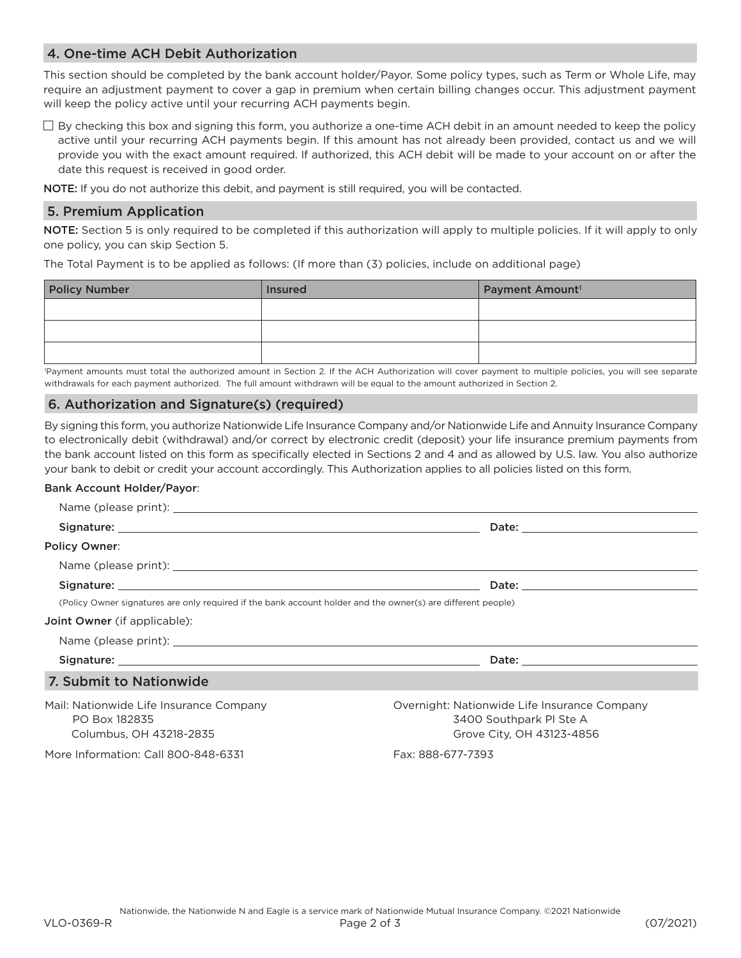# 4. One-time ACH Debit Authorization

This section should be completed by the bank account holder/Payor. Some policy types, such as Term or Whole Life, may require an adjustment payment to cover a gap in premium when certain billing changes occur. This adjustment payment will keep the policy active until your recurring ACH payments begin.

 $\Box$  By checking this box and signing this form, you authorize a one-time ACH debit in an amount needed to keep the policy active until your recurring ACH payments begin. If this amount has not already been provided, contact us and we will provide you with the exact amount required. If authorized, this ACH debit will be made to your account on or after the date this request is received in good order.

NOTE: If you do not authorize this debit, and payment is still required, you will be contacted.

# 5. Premium Application

NOTE: Section 5 is only required to be completed if this authorization will apply to multiple policies. If it will apply to only one policy, you can skip Section 5.

The Total Payment is to be applied as follows: (If more than (3) policies, include on additional page)

| <b>Policy Number</b> | <b>Insured</b> | Payment Amount <sup>1</sup> |
|----------------------|----------------|-----------------------------|
|                      |                |                             |
|                      |                |                             |
|                      |                |                             |

1 Payment amounts must total the authorized amount in Section 2. If the ACH Authorization will cover payment to multiple policies, you will see separate withdrawals for each payment authorized. The full amount withdrawn will be equal to the amount authorized in Section 2.

# 6. Authorization and Signature(s) (required)

By signing this form, you authorize Nationwide Life Insurance Company and/or Nationwide Life and Annuity Insurance Company to electronically debit (withdrawal) and/or correct by electronic credit (deposit) your life insurance premium payments from the bank account listed on this form as specifically elected in Sections 2 and 4 and as allowed by U.S. law. You also authorize your bank to debit or credit your account accordingly. This Authorization applies to all policies listed on this form.

### Bank Account Holder/Payor:

| <b>Policy Owner:</b>                                                                                         |                                                                                                      |
|--------------------------------------------------------------------------------------------------------------|------------------------------------------------------------------------------------------------------|
|                                                                                                              |                                                                                                      |
|                                                                                                              |                                                                                                      |
| (Policy Owner signatures are only required if the bank account holder and the owner(s) are different people) |                                                                                                      |
| <b>Joint Owner</b> (if applicable):                                                                          |                                                                                                      |
|                                                                                                              |                                                                                                      |
|                                                                                                              |                                                                                                      |
| 7. Submit to Nationwide                                                                                      |                                                                                                      |
| Mail: Nationwide Life Insurance Company<br>PO Box 182835<br>Columbus, OH 43218-2835                          | Overnight: Nationwide Life Insurance Company<br>3400 Southpark Pl Ste A<br>Grove City, OH 43123-4856 |
| More Information: Call 800-848-6331                                                                          | Fax: 888-677-7393                                                                                    |